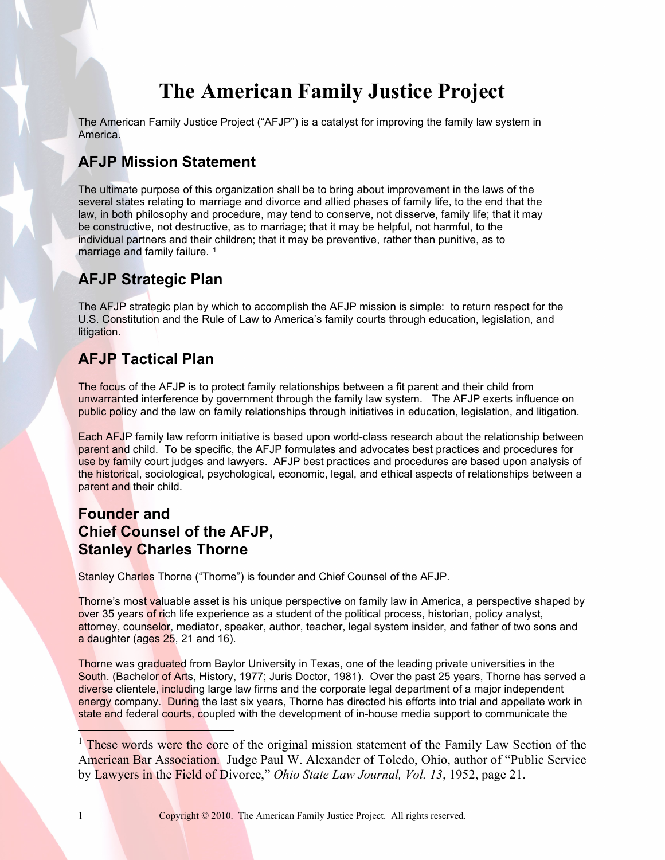# **The American Family Justice Project**

The American Family Justice Project ("AFJP") is a catalyst for improving the family law system in America.

## **AFJP Mission Statement**

The ultimate purpose of this organization shall be to bring about improvement in the laws of the several states relating to marriage and divorce and allied phases of family life, to the end that the law, in both philosophy and procedure, may tend to conserve, not disserve, family life; that it may be constructive, not destructive, as to marriage; that it may be helpful, not harmful, to the individual partners and their children; that it may be preventive, rather than punitive, as to marriage and family failure.<sup>[1](#page-0-0)</sup>

## **AFJP Strategic Plan**

The AFJP strategic plan by which to accomplish the AFJP mission is simple: to return respect for the U.S. Constitution and the Rule of Law to America's family courts through education, legislation, and litigation.

## **AFJP Tactical Plan**

The focus of the AFJP is to protect family relationships between a fit parent and their child from unwarranted interference by government through the family law system. The AFJP exerts influence on public policy and the law on family relationships through initiatives in education, legislation, and litigation.

Each AFJP family law reform initiative is based upon world-class research about the relationship between parent and child. To be specific, the AFJP formulates and advocates best practices and procedures for use by family court judges and lawyers. AFJP best practices and procedures are based upon analysis of the historical, sociological, psychological, economic, legal, and ethical aspects of relationships between a parent and their child.

## **Founder and Chief Counsel of the AFJP, Stanley Charles Thorne**

Stanley Charles Thorne ("Thorne") is founder and Chief Counsel of the AFJP.

Thorne's most valuable asset is his unique perspective on family law in America, a perspective shaped by over 35 years of rich life experience as a student of the political process, historian, policy analyst, attorney, counselor, mediator, speaker, author, teacher, legal system insider, and father of two sons and a daughter (ages 25, 21 and 16).

Thorne was graduated from Baylor University in Texas, one of the leading private universities in the South. (Bachelor of Arts, History, 1977; Juris Doctor, 1981). Over the past 25 years, Thorne has served a diverse clientele, including large law firms and the corporate legal department of a major independent energy company. During the last six years, Thorne has directed his efforts into trial and appellate work in state and federal courts, coupled with the development of in-house media support to communicate the

<span id="page-0-0"></span><sup>&</sup>lt;sup>1</sup> These words were the core of the original mission statement of the Family Law Section of the American Bar Association. Judge Paul W. Alexander of Toledo, Ohio, author of "Public Service by Lawyers in the Field of Divorce," *Ohio State Law Journal, Vol. 13*, 1952, page 21.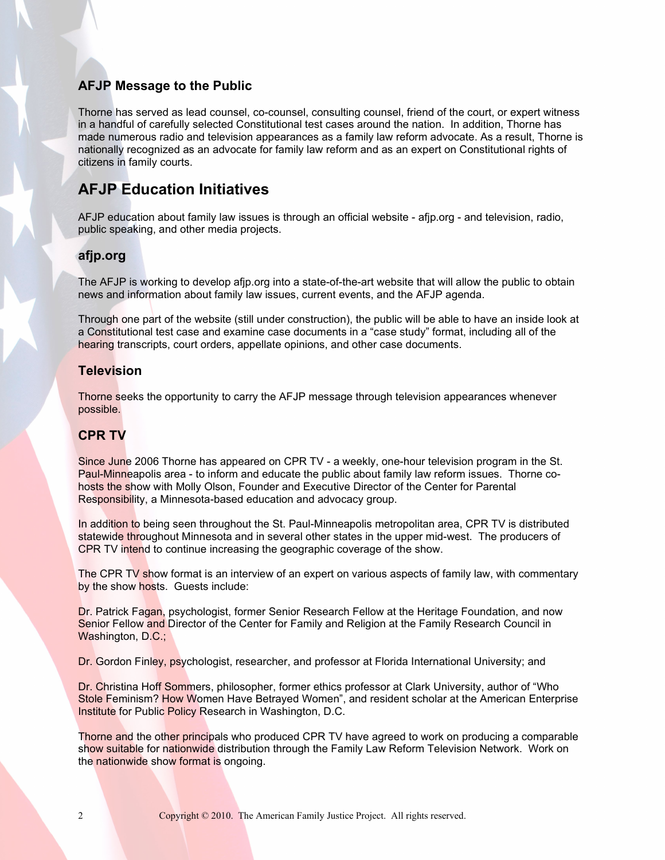## **AFJP Message to the Public**

Thorne has served as lead counsel, co-counsel, consulting counsel, friend of the court, or expert witness in a handful of carefully selected Constitutional test cases around the nation. In addition, Thorne has made numerous radio and television appearances as a family law reform advocate. As a result, Thorne is nationally recognized as an advocate for family law reform and as an expert on Constitutional rights of citizens in family courts.

## **AFJP Education Initiatives**

AFJP education about family law issues is through an official website - afjp.org - and television, radio, public speaking, and other media projects.

## **afjp.org**

The AFJP is working to develop afjp.org into a state-of-the-art website that will allow the public to obtain news and information about family law issues, current events, and the AFJP agenda.

Through one part of the website (still under construction), the public will be able to have an inside look at a Constitutional test case and examine case documents in a "case study" format, including all of the hearing transcripts, court orders, appellate opinions, and other case documents.

### **Television**

Thorne seeks the opportunity to carry the AFJP message through television appearances whenever possible.

### **CPR TV**

Since June 2006 Thorne has appeared on CPR TV - a weekly, one-hour television program in the St. Paul-Minneapolis area - to inform and educate the public about family law reform issues. Thorne cohosts the show with Molly Olson, Founder and Executive Director of the Center for Parental Responsibility, a Minnesota-based education and advocacy group.

In addition to being seen throughout the St. Paul-Minneapolis metropolitan area, CPR TV is distributed statewide throughout Minnesota and in several other states in the upper mid-west. The producers of CPR TV intend to continue increasing the geographic coverage of the show.

The CPR TV show format is an interview of an expert on various aspects of family law, with commentary by the show hosts. Guests include:

Dr. Patrick Fagan, psychologist, former Senior Research Fellow at the Heritage Foundation, and now Senior Fellow and Director of the Center for Family and Religion at the Family Research Council in Washington, D.C.;

Dr. Gordon Finley, psychologist, researcher, and professor at Florida International University; and

Dr. Christina Hoff Sommers, philosopher, former ethics professor at Clark University, author of "Who Stole Feminism? How Women Have Betrayed Women", and resident scholar at the American Enterprise Institute for Public Policy Research in Washington, D.C.

Thorne and the other principals who produced CPR TV have agreed to work on producing a comparable show suitable for nationwide distribution through the Family Law Reform Television Network. Work on the nationwide show format is ongoing.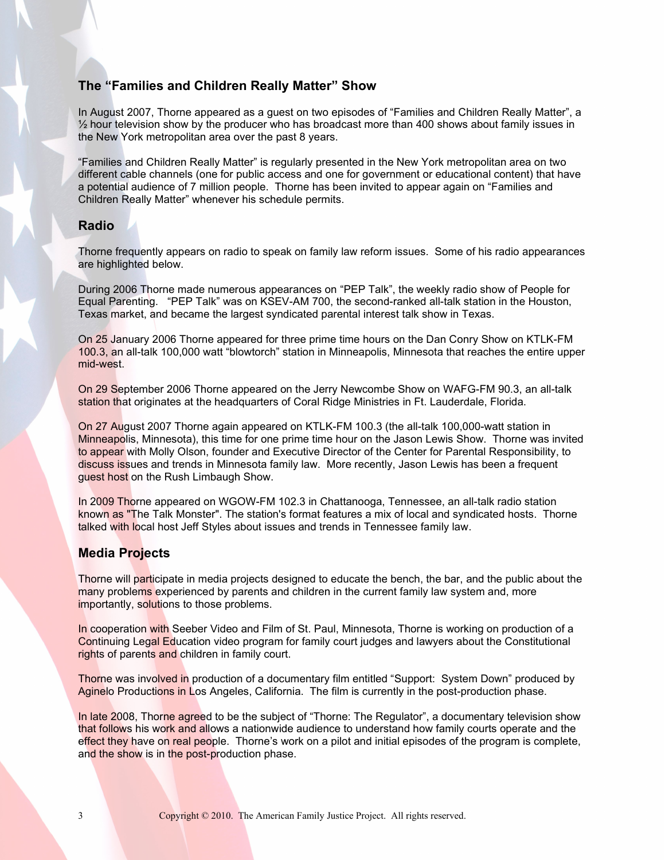### **The "Families and Children Really Matter" Show**

In August 2007, Thorne appeared as a guest on two episodes of "Families and Children Really Matter", a  $\frac{1}{2}$  hour television show by the producer who has broadcast more than 400 shows about family issues in the New York metropolitan area over the past 8 years.

"Families and Children Really Matter" is regularly presented in the New York metropolitan area on two different cable channels (one for public access and one for government or educational content) that have a potential audience of 7 million people. Thorne has been invited to appear again on "Families and Children Really Matter" whenever his schedule permits.

#### **Radio**

Thorne frequently appears on radio to speak on family law reform issues. Some of his radio appearances are highlighted below.

During 2006 Thorne made numerous appearances on "PEP Talk", the weekly radio show of People for Equal Parenting. "PEP Talk" was on KSEV-AM 700, the second-ranked all-talk station in the Houston, Texas market, and became the largest syndicated parental interest talk show in Texas.

On 25 January 2006 Thorne appeared for three prime time hours on the Dan Conry Show on KTLK-FM 100.3, an all-talk 100,000 watt "blowtorch" station in Minneapolis, Minnesota that reaches the entire upper mid-west.

On 29 September 2006 Thorne appeared on the Jerry Newcombe Show on WAFG-FM 90.3, an all-talk station that originates at the headquarters of Coral Ridge Ministries in Ft. Lauderdale, Florida.

On 27 August 2007 Thorne again appeared on KTLK-FM 100.3 (the all-talk 100,000-watt station in Minneapolis, Minnesota), this time for one prime time hour on the Jason Lewis Show. Thorne was invited to appear with Molly Olson, founder and Executive Director of the Center for Parental Responsibility, to discuss issues and trends in Minnesota family law. More recently, Jason Lewis has been a frequent guest host on the Rush Limbaugh Show.

In 2009 Thorne appeared on WGOW-FM 102.3 in Chattanooga, Tennessee, an all-talk radio station known as "The Talk Monster". The station's format features a mix of local and syndicated hosts. Thorne talked with local host Jeff Styles about issues and trends in Tennessee family law.

### **Media Projects**

Thorne will participate in media projects designed to educate the bench, the bar, and the public about the many problems experienced by parents and children in the current family law system and, more importantly, solutions to those problems.

In cooperation with Seeber Video and Film of St. Paul, Minnesota, Thorne is working on production of a Continuing Legal Education video program for family court judges and lawyers about the Constitutional rights of parents and children in family court.

Thorne was involved in production of a documentary film entitled "Support: System Down" produced by Aginelo Productions in Los Angeles, California. The film is currently in the post-production phase.

In late 2008, Thorne agreed to be the subject of "Thorne: The Regulator", a documentary television show that follows his work and allows a nationwide audience to understand how family courts operate and the effect they have on real people. Thorne's work on a pilot and initial episodes of the program is complete, and the show is in the post-production phase.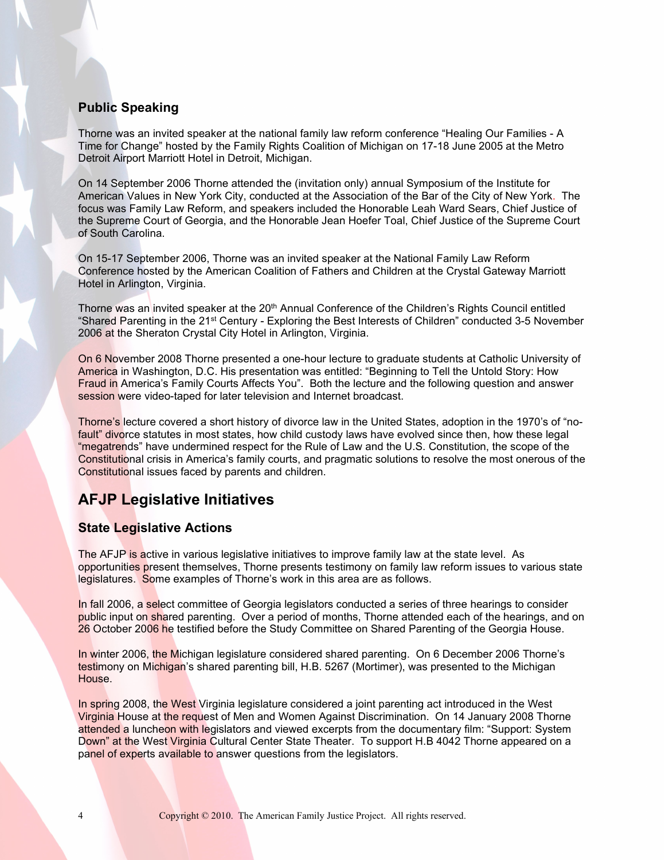## **Public Speaking**

Thorne was an invited speaker at the national family law reform conference "Healing Our Families - A Time for Change" hosted by the Family Rights Coalition of Michigan on 17-18 June 2005 at the Metro Detroit Airport Marriott Hotel in Detroit, Michigan.

On 14 September 2006 Thorne attended the (invitation only) annual Symposium of the Institute for American Values in New York City, conducted at the Association of the Bar of the City of New York. The focus was Family Law Reform, and speakers included the Honorable Leah Ward Sears, Chief Justice of the Supreme Court of Georgia, and the Honorable Jean Hoefer Toal, Chief Justice of the Supreme Court of South Carolina.

On 15-17 September 2006, Thorne was an invited speaker at the National Family Law Reform Conference hosted by the American Coalition of Fathers and Children at the Crystal Gateway Marriott Hotel in Arlington, Virginia.

Thorne was an invited speaker at the 20<sup>th</sup> Annual Conference of the Children's Rights Council entitled "Shared Parenting in the 21st Century - Exploring the Best Interests of Children" conducted 3-5 November 2006 at the Sheraton Crystal City Hotel in Arlington, Virginia.

On 6 November 2008 Thorne presented a one-hour lecture to graduate students at Catholic University of America in Washington, D.C. His presentation was entitled: "Beginning to Tell the Untold Story: How Fraud in America's Family Courts Affects You". Both the lecture and the following question and answer session were video-taped for later television and Internet broadcast.

Thorne's lecture covered a short history of divorce law in the United States, adoption in the 1970's of "nofault" divorce statutes in most states, how child custody laws have evolved since then, how these legal "megatrends" have undermined respect for the Rule of Law and the U.S. Constitution, the scope of the Constitutional crisis in America's family courts, and pragmatic solutions to resolve the most onerous of the Constitutional issues faced by parents and children.

## **AFJP Legislative Initiatives**

### **State Legislative Actions**

The AFJP is active in various legislative initiatives to improve family law at the state level. As opportunities present themselves, Thorne presents testimony on family law reform issues to various state legislatures. Some examples of Thorne's work in this area are as follows.

In fall 2006, a select committee of Georgia legislators conducted a series of three hearings to consider public input on shared parenting. Over a period of months, Thorne attended each of the hearings, and on 26 October 2006 he testified before the Study Committee on Shared Parenting of the Georgia House.

In winter 2006, the Michigan legislature considered shared parenting. On 6 December 2006 Thorne's testimony on Michigan's shared parenting bill, H.B. 5267 (Mortimer), was presented to the Michigan House.

In spring 2008, the West Virginia legislature considered a joint parenting act introduced in the West Virginia House at the request of Men and Women Against Discrimination. On 14 January 2008 Thorne attended a luncheon with legislators and viewed excerpts from the documentary film: "Support: System Down" at the West Virginia Cultural Center State Theater. To support H.B 4042 Thorne appeared on a panel of experts available to answer questions from the legislators.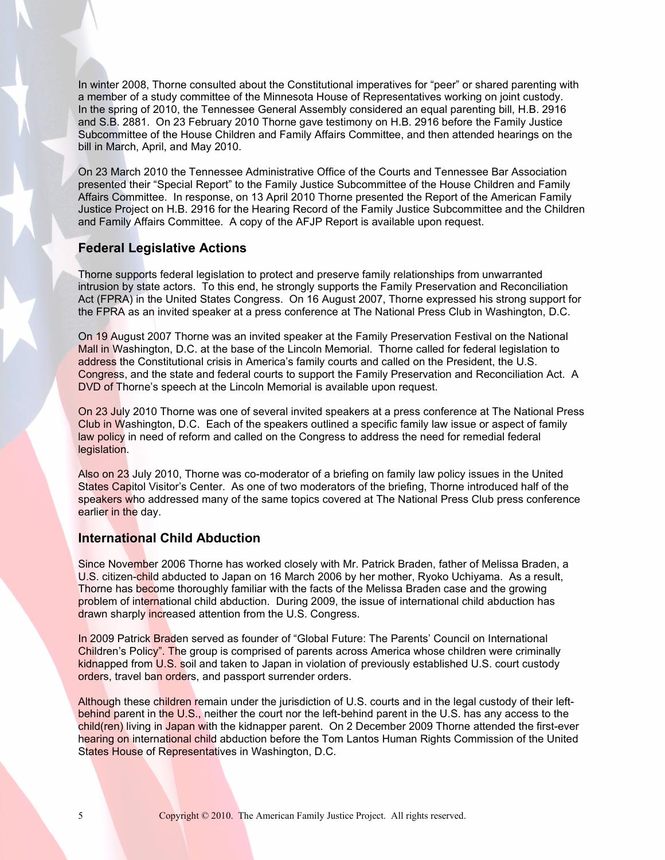In winter 2008, Thorne consulted about the Constitutional imperatives for "peer" or shared parenting with a member of a study committee of the Minnesota House of Representatives working on joint custody. In the spring of 2010, the Tennessee General Assembly considered an equal parenting bill, H.B. 2916 and S.B. 2881. On 23 February 2010 Thorne gave testimony on H.B. 2916 before the Family Justice Subcommittee of the House Children and Family Affairs Committee, and then attended hearings on the bill in March, April, and May 2010.

On 23 March 2010 the Tennessee Administrative Office of the Courts and Tennessee Bar Association presented their "Special Report" to the Family Justice Subcommittee of the House Children and Family Affairs Committee. In response, on 13 April 2010 Thorne presented the Report of the American Family Justice Project on H.B. 2916 for the Hearing Record of the Family Justice Subcommittee and the Children and Family Affairs Committee. A copy of the AFJP Report is available upon request.

## **Federal Legislative Actions**

Thorne supports federal legislation to protect and preserve family relationships from unwarranted intrusion by state actors. To this end, he strongly supports the Family Preservation and Reconciliation Act (FPRA) in the United States Congress. On 16 August 2007, Thorne expressed his strong support for the FPRA as an invited speaker at a press conference at The National Press Club in Washington, D.C.

On 19 August 2007 Thorne was an invited speaker at the Family Preservation Festival on the National Mall in Washington, D.C. at the base of the Lincoln Memorial. Thorne called for federal legislation to address the Constitutional crisis in America's family courts and called on the President, the U.S. Congress, and the state and federal courts to support the Family Preservation and Reconciliation Act. A DVD of Thorne's speech at the Lincoln Memorial is available upon request.

On 23 July 2010 Thorne was one of several invited speakers at a press conference at The National Press Club in Washington, D.C. Each of the speakers outlined a specific family law issue or aspect of family law policy in need of reform and called on the Congress to address the need for remedial federal legislation.

Also on 23 July 2010, Thorne was co-moderator of a briefing on family law policy issues in the United States Capitol Visitor's Center. As one of two moderators of the briefing, Thorne introduced half of the speakers who addressed many of the same topics covered at The National Press Club press conference earlier in the day.

### **International Child Abduction**

Since November 2006 Thorne has worked closely with Mr. Patrick Braden, father of Melissa Braden, a U.S. citizen-child abducted to Japan on 16 March 2006 by her mother, Ryoko Uchiyama. As a result, Thorne has become thoroughly familiar with the facts of the Melissa Braden case and the growing problem of international child abduction. During 2009, the issue of international child abduction has drawn sharply increased attention from the U.S. Congress.

In 2009 Patrick Braden served as founder of "Global Future: The Parents' Council on International Children's Policy". The group is comprised of parents across America whose children were criminally kidnapped from U.S. soil and taken to Japan in violation of previously established U.S. court custody orders, travel ban orders, and passport surrender orders.

Although these children remain under the jurisdiction of U.S. courts and in the legal custody of their leftbehind parent in the U.S., neither the court nor the left-behind parent in the U.S. has any access to the child(ren) living in Japan with the kidnapper parent. On 2 December 2009 Thorne attended the first-ever hearing on international child abduction before the Tom Lantos Human Rights Commission of the United States House of Representatives in Washington, D.C.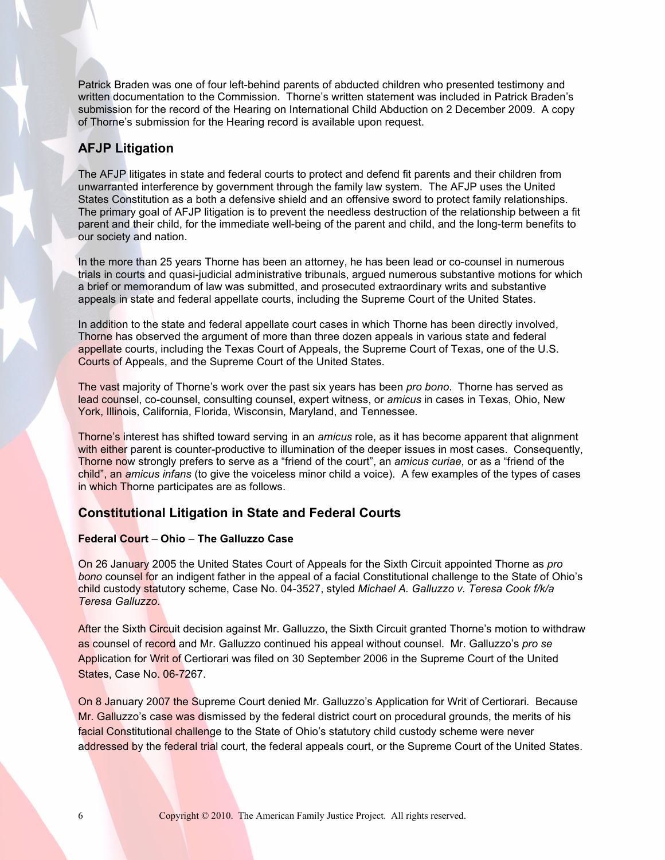Patrick Braden was one of four left-behind parents of abducted children who presented testimony and written documentation to the Commission. Thorne's written statement was included in Patrick Braden's submission for the record of the Hearing on International Child Abduction on 2 December 2009. A copy of Thorne's submission for the Hearing record is available upon request.

## **AFJP Litigation**

The AFJP litigates in state and federal courts to protect and defend fit parents and their children from unwarranted interference by government through the family law system. The AFJP uses the United States Constitution as a both a defensive shield and an offensive sword to protect family relationships. The primary goal of AFJP litigation is to prevent the needless destruction of the relationship between a fit parent and their child, for the immediate well-being of the parent and child, and the long-term benefits to our society and nation.

In the more than 25 years Thorne has been an attorney, he has been lead or co-counsel in numerous trials in courts and quasi-judicial administrative tribunals, argued numerous substantive motions for which a brief or memorandum of law was submitted, and prosecuted extraordinary writs and substantive appeals in state and federal appellate courts, including the Supreme Court of the United States.

In addition to the state and federal appellate court cases in which Thorne has been directly involved, Thorne has observed the argument of more than three dozen appeals in various state and federal appellate courts, including the Texas Court of Appeals, the Supreme Court of Texas, one of the U.S. Courts of Appeals, and the Supreme Court of the United States.

The vast majority of Thorne's work over the past six years has been *pro bono*. Thorne has served as lead counsel, co-counsel, consulting counsel, expert witness, or *amicus* in cases in Texas, Ohio, New York, Illinois, California, Florida, Wisconsin, Maryland, and Tennessee.

Thorne's interest has shifted toward serving in an *amicus* role, as it has become apparent that alignment with either parent is counter-productive to illumination of the deeper issues in most cases. Consequently, Thorne now strongly prefers to serve as a "friend of the court", an *amicus curiae*, or as a "friend of the child", an *amicus infans* (to give the voiceless minor child a voice). A few examples of the types of cases in which Thorne participates are as follows.

### **Constitutional Litigation in State and Federal Courts**

#### **Federal Court** – **Ohio** – **The Galluzzo Case**

On 26 January 2005 the United States Court of Appeals for the Sixth Circuit appointed Thorne as *pro bono* counsel for an indigent father in the appeal of a facial Constitutional challenge to the State of Ohio's child custody statutory scheme, Case No. 04-3527, styled *Michael A. Galluzzo v. Teresa Cook f/k/a Teresa Galluzzo*.

After the Sixth Circuit decision against Mr. Galluzzo, the Sixth Circuit granted Thorne's motion to withdraw as counsel of record and Mr. Galluzzo continued his appeal without counsel. Mr. Galluzzo's *pro se* Application for Writ of Certiorari was filed on 30 September 2006 in the Supreme Court of the United States, Case No. 06-7267.

On 8 January 2007 the Supreme Court denied Mr. Galluzzo's Application for Writ of Certiorari. Because Mr. Galluzzo's case was dismissed by the federal district court on procedural grounds, the merits of his facial Constitutional challenge to the State of Ohio's statutory child custody scheme were never addressed by the federal trial court, the federal appeals court, or the Supreme Court of the United States.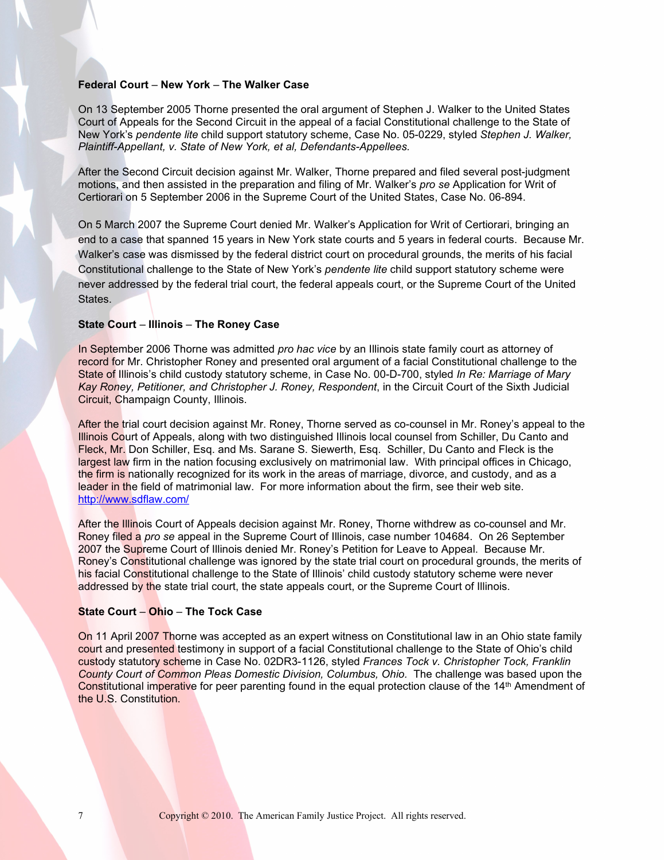#### **Federal Court** – **New York** – **The Walker Case**

On 13 September 2005 Thorne presented the oral argument of Stephen J. Walker to the United States Court of Appeals for the Second Circuit in the appeal of a facial Constitutional challenge to the State of New York's *pendente lite* child support statutory scheme, Case No. 05-0229, styled *Stephen J. Walker, Plaintiff-Appellant, v. State of New York, et al, Defendants-Appellees.*

After the Second Circuit decision against Mr. Walker, Thorne prepared and filed several post-judgment motions, and then assisted in the preparation and filing of Mr. Walker's *pro se* Application for Writ of Certiorari on 5 September 2006 in the Supreme Court of the United States, Case No. 06-894.

On 5 March 2007 the Supreme Court denied Mr. Walker's Application for Writ of Certiorari, bringing an end to a case that spanned 15 years in New York state courts and 5 years in federal courts. Because Mr. Walker's case was dismissed by the federal district court on procedural grounds, the merits of his facial Constitutional challenge to the State of New York's *pendente lite* child support statutory scheme were never addressed by the federal trial court, the federal appeals court, or the Supreme Court of the United States.

#### **State Court** – **Illinois** – **The Roney Case**

In September 2006 Thorne was admitted *pro hac vice* by an Illinois state family court as attorney of record for Mr. Christopher Roney and presented oral argument of a facial Constitutional challenge to the State of Illinois's child custody statutory scheme, in Case No. 00-D-700, styled *In Re: Marriage of Mary Kay Roney, Petitioner, and Christopher J. Roney, Respondent*, in the Circuit Court of the Sixth Judicial Circuit, Champaign County, Illinois.

After the trial court decision against Mr. Roney, Thorne served as co-counsel in Mr. Roney's appeal to the Illinois Court of Appeals, along with two distinguished Illinois local counsel from Schiller, Du Canto and Fleck, Mr. Don Schiller, Esq. and Ms. Sarane S. Siewerth, Esq. Schiller, Du Canto and Fleck is the largest law firm in the nation focusing exclusively on matrimonial law. With principal offices in Chicago, the firm is nationally recognized for its work in the areas of marriage, divorce, and custody, and as a leader in the field of matrimonial law. For more information about the firm, see their web site. <http://www.sdflaw.com/>

After the Illinois Court of Appeals decision against Mr. Roney, Thorne withdrew as co-counsel and Mr. Roney filed a *pro se* appeal in the Supreme Court of Illinois, case number 104684. On 26 September 2007 the Supreme Court of Illinois denied Mr. Roney's Petition for Leave to Appeal. Because Mr. Roney's Constitutional challenge was ignored by the state trial court on procedural grounds, the merits of his facial Constitutional challenge to the State of Illinois' child custody statutory scheme were never addressed by the state trial court, the state appeals court, or the Supreme Court of Illinois.

#### **State Court** – **Ohio** – **The Tock Case**

On 11 April 2007 Thorne was accepted as an expert witness on Constitutional law in an Ohio state family court and presented testimony in support of a facial Constitutional challenge to the State of Ohio's child custody statutory scheme in Case No. 02DR3-1126, styled *Frances Tock v. Christopher Tock, Franklin County Court of Common Pleas Domestic Division, Columbus, Ohio.* The challenge was based upon the Constitutional imperative for peer parenting found in the equal protection clause of the 14th Amendment of the U.S. Constitution.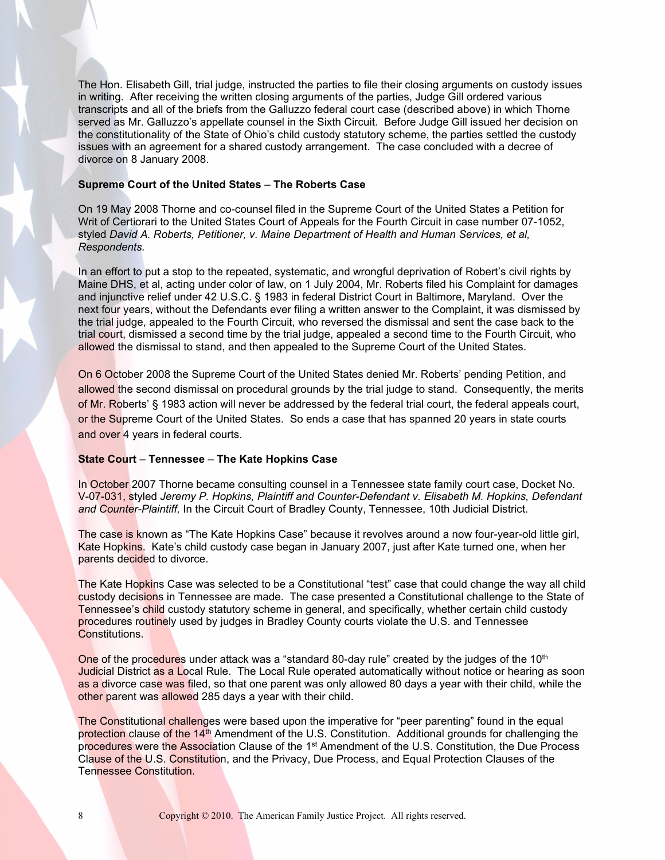The Hon. Elisabeth Gill, trial judge, instructed the parties to file their closing arguments on custody issues in writing. After receiving the written closing arguments of the parties, Judge Gill ordered various transcripts and all of the briefs from the Galluzzo federal court case (described above) in which Thorne served as Mr. Galluzzo's appellate counsel in the Sixth Circuit. Before Judge Gill issued her decision on the constitutionality of the State of Ohio's child custody statutory scheme, the parties settled the custody issues with an agreement for a shared custody arrangement. The case concluded with a decree of divorce on 8 January 2008.

#### **Supreme Court of the United States** – **The Roberts Case**

On 19 May 2008 Thorne and co-counsel filed in the Supreme Court of the United States a Petition for Writ of Certiorari to the United States Court of Appeals for the Fourth Circuit in case number 07-1052, styled *David A. Roberts, Petitioner, v. Maine Department of Health and Human Services, et al, Respondents.*

In an effort to put a stop to the repeated, systematic, and wrongful deprivation of Robert's civil rights by Maine DHS, et al, acting under color of law, on 1 July 2004, Mr. Roberts filed his Complaint for damages and injunctive relief under 42 U.S.C. § 1983 in federal District Court in Baltimore, Maryland. Over the next four years, without the Defendants ever filing a written answer to the Complaint, it was dismissed by the trial judge, appealed to the Fourth Circuit, who reversed the dismissal and sent the case back to the trial court, dismissed a second time by the trial judge, appealed a second time to the Fourth Circuit, who allowed the dismissal to stand, and then appealed to the Supreme Court of the United States.

On 6 October 2008 the Supreme Court of the United States denied Mr. Roberts' pending Petition, and allowed the second dismissal on procedural grounds by the trial judge to stand. Consequently, the merits of Mr. Roberts' § 1983 action will never be addressed by the federal trial court, the federal appeals court, or the Supreme Court of the United States. So ends a case that has spanned 20 years in state courts and over 4 years in federal courts.

#### **State Court** – **Tennessee** – **The Kate Hopkins Case**

In October 2007 Thorne became consulting counsel in a Tennessee state family court case, Docket No. V-07-031, styled *Jeremy P. Hopkins, Plaintiff and Counter-Defendant v. Elisabeth M. Hopkins, Defendant and Counter-Plaintiff,* In the Circuit Court of Bradley County, Tennessee, 10th Judicial District.

The case is known as "The Kate Hopkins Case" because it revolves around a now four-year-old little girl, Kate Hopkins. Kate's child custody case began in January 2007, just after Kate turned one, when her parents decided to divorce.

The Kate Hopkins Case was selected to be a Constitutional "test" case that could change the way all child custody decisions in Tennessee are made. The case presented a Constitutional challenge to the State of Tennessee's child custody statutory scheme in general, and specifically, whether certain child custody procedures routinely used by judges in Bradley County courts violate the U.S. and Tennessee Constitutions.

One of the procedures under attack was a "standard 80-day rule" created by the judges of the  $10<sup>th</sup>$ Judicial District as a Local Rule. The Local Rule operated automatically without notice or hearing as soon as a divorce case was filed, so that one parent was only allowed 80 days a year with their child, while the other parent was allowed 285 days a year with their child.

The Constitutional challenges were based upon the imperative for "peer parenting" found in the equal protection clause of the 14<sup>th</sup> Amendment of the U.S. Constitution. Additional grounds for challenging the procedures were the Association Clause of the 1<sup>st</sup> Amendment of the U.S. Constitution, the Due Process Clause of the U.S. Constitution, and the Privacy, Due Process, and Equal Protection Clauses of the Tennessee Constitution.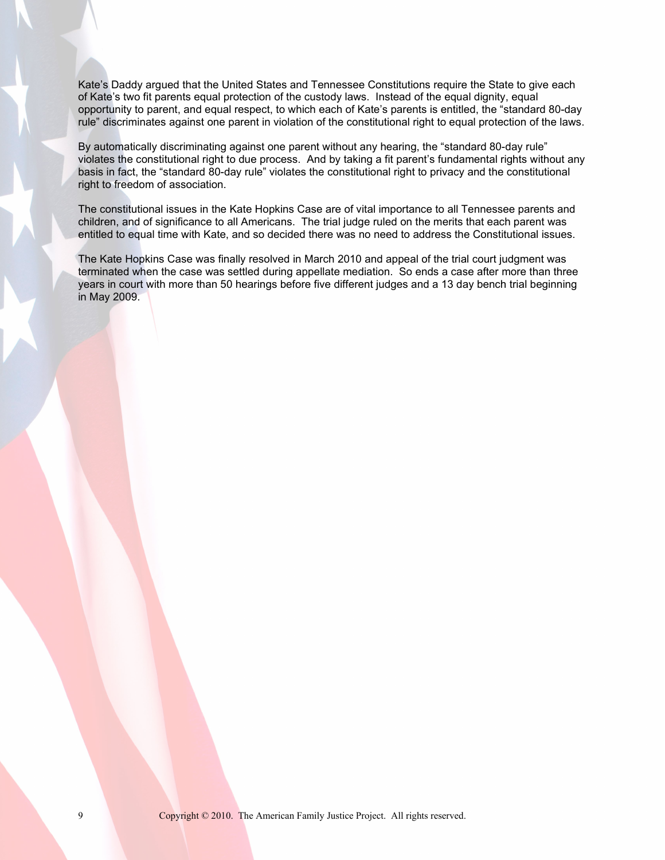Kate's Daddy argued that the United States and Tennessee Constitutions require the State to give each of Kate's two fit parents equal protection of the custody laws. Instead of the equal dignity, equal opportunity to parent, and equal respect, to which each of Kate's parents is entitled, the "standard 80-day rule" discriminates against one parent in violation of the constitutional right to equal protection of the laws.

By automatically discriminating against one parent without any hearing, the "standard 80-day rule" violates the constitutional right to due process. And by taking a fit parent's fundamental rights without any basis in fact, the "standard 80-day rule" violates the constitutional right to privacy and the constitutional right to freedom of association.

The constitutional issues in the Kate Hopkins Case are of vital importance to all Tennessee parents and children, and of significance to all Americans. The trial judge ruled on the merits that each parent was entitled to equal time with Kate, and so decided there was no need to address the Constitutional issues.

The Kate Hopkins Case was finally resolved in March 2010 and appeal of the trial court judgment was terminated when the case was settled during appellate mediation. So ends a case after more than three years in court with more than 50 hearings before five different judges and a 13 day bench trial beginning in May 2009.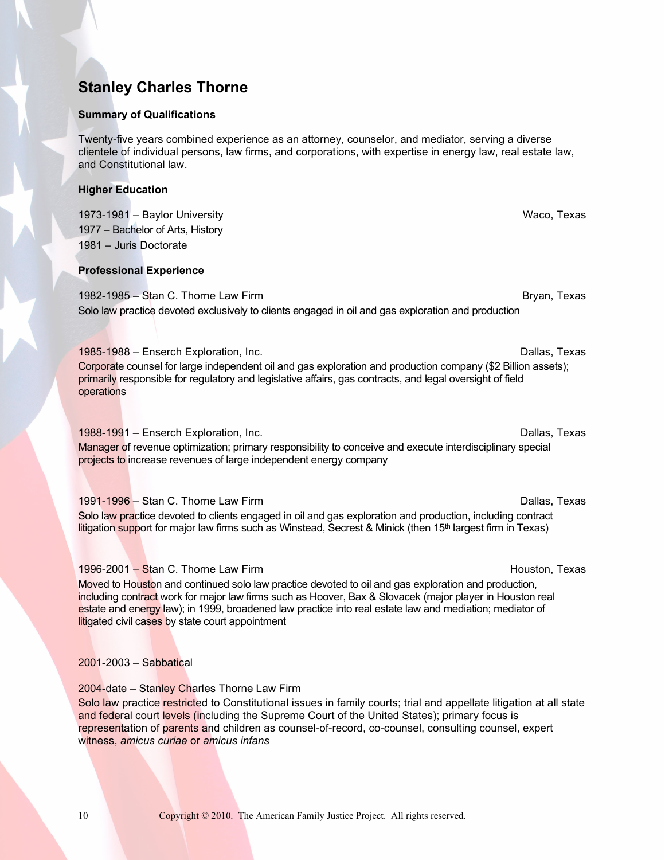## **Stanley Charles Thorne**

#### **Summary of Qualifications**

Twenty-five years combined experience as an attorney, counselor, and mediator, serving a diverse clientele of individual persons, law firms, and corporations, with expertise in energy law, real estate law, and Constitutional law.

#### **Higher Education**

1973-1981 – Baylor University Waco, Texas 1977 – Bachelor of Arts, History 1981 – Juris Doctorate

#### **Professional Experience**

1982-1985 – Stan C. Thorne Law Firm Bryan, Texas and Bryan, Texas and Bryan, Texas Solo law practice devoted exclusively to clients engaged in oil and gas exploration and production

#### 1985-1988 – Enserch Exploration, Inc. Dallas, Texas

Corporate counsel for large independent oil and gas exploration and production company (\$2 Billion assets); primarily responsible for regulatory and legislative affairs, gas contracts, and legal oversight of field operations

#### 1988-1991 – Enserch Exploration, Inc. Dallas, Texas Controller and Dallas, Texas Controller and Dallas, Texas

Manager of revenue optimization; primary responsibility to conceive and execute interdisciplinary special projects to increase revenues of large independent energy company

#### 1991-1996 – Stan C. Thorne Law Firm **Dallas, Texas** Dallas, Texas

Solo law practice devoted to clients engaged in oil and gas exploration and production, including contract litigation support for major law firms such as Winstead, Secrest & Minick (then  $15<sup>th</sup>$  largest firm in Texas)

#### 1996-2001 – Stan C. Thorne Law Firm **Houston, Texas** Houston, Texas

Moved to Houston and continued solo law practice devoted to oil and gas exploration and production, including contract work for major law firms such as Hoover, Bax & Slovacek (major player in Houston real estate and energy law); in 1999, broadened law practice into real estate law and mediation; mediator of **litigated civil cases by state court appointment** 

#### 2001-2003 – Sabbatical

## 2004-date – Stanley Charles Thorne Law Firm

Solo law practice restricted to Constitutional issues in family courts; trial and appellate litigation at all state and federal court levels (including the Supreme Court of the United States); primary focus is representation of parents and children as counsel-of-record, co-counsel, consulting counsel, expert witness, *amicus curiae* or *amicus infans*